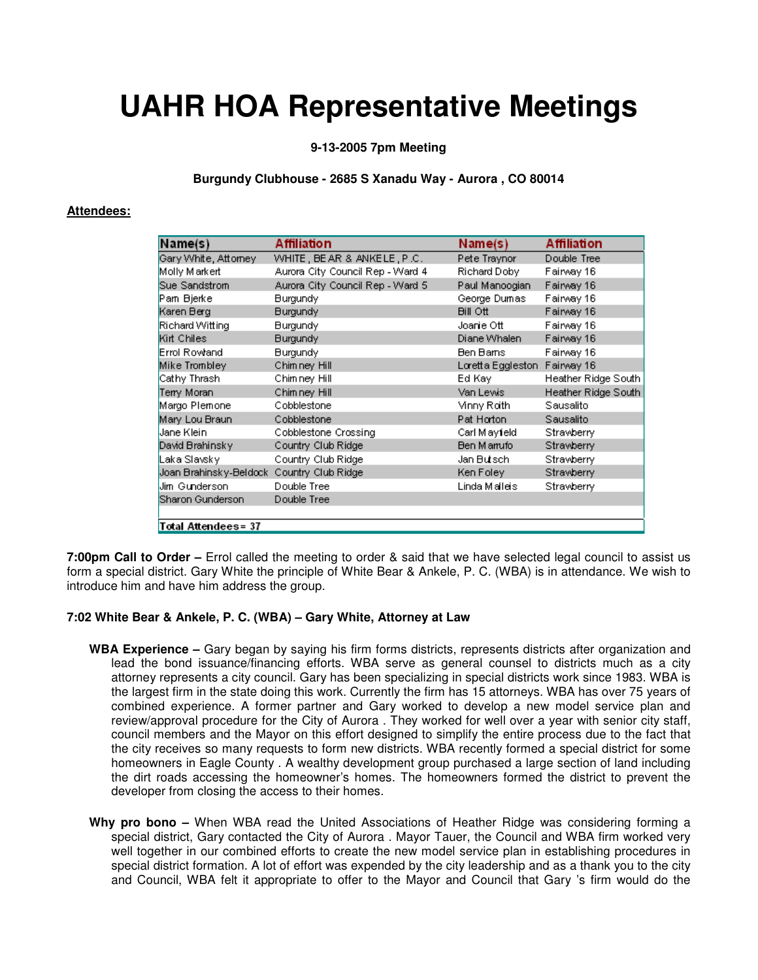# **UAHR HOA Representative Meetings**

**9-13-2005 7pm Meeting**

## **Burgundy Clubhouse - 2685 S Xanadu Way - Aurora , CO 80014**

# **Attendees:**

| Name(s)                   | Affiliation                      | Name(s)             | <b>Affiliation</b>  |
|---------------------------|----------------------------------|---------------------|---------------------|
| Gary White, Attorney      | WHITE, BEAR & ANKELE, P.C.       | Pete Traynor        | Double Tree         |
| Molly Markert             | Aurora City Council Rep - Ward 4 | Richard Doby        | Fairway 16          |
| Sue Sandstrom             | Aurora City Council Rep - Ward 5 | Paul Manoogian      | Fairway 16          |
| Pam Bjerke                | <b>Burgundy</b>                  | George Dumas        | Fairway 16          |
| Karen Berg                | <b>Burgundy</b>                  | <b>Bill Ott</b>     | Fairway 16          |
| Richard Witting           | <b>Burgundy</b>                  | Joanie Otti         | Fairway 16          |
| Kirt Chiles               | <b>Burgundy</b>                  | Diane Whalen        | Fairway 16          |
| Errol Rowland             | <b>Burgundy</b>                  | Ben Barns           | Fairway 16          |
| Mike Trombley             | Chimney Hill                     | Loretta Eggleston i | Fairway 16          |
| Cathy Thrash              | Chimney Hill                     | Ed Kav              | Heather Ridge South |
| Terry Moran               | Chimney Hill                     | Van Lewis I         | Heather Ridge South |
| Margo Plemone             | Cobblestone                      | Mnny Roith.         | Sausalito           |
| Mary Lou Braun            | Cobblestone                      | Pat Horton          | Sausalito           |
| Jane Klein.               | Cobblestone Crossing             | Carl Mayfeld        | Strawberry          |
| David Brahinsky           | Country Club Ridge               | Ben Manufo          | Strawberry          |
| Laka Slavsky              | Country Club Ridge               | Jan Butsch-         | Strawberry          |
| Joan Brahinsky-Beldock    | Country Club Ridge               | Ken Foley           | Strawberry          |
| Jim Gunderson             | Double Tree                      | Linda Malleis       | Strawberry          |
| Sharon Gunderson          | Double Tree                      |                     |                     |
|                           |                                  |                     |                     |
| <b>Total Attendees=37</b> |                                  |                     |                     |

**7:00pm Call to Order –** Errol called the meeting to order & said that we have selected legal council to assist us form a special district. Gary White the principle of White Bear & Ankele, P. C. (WBA) is in attendance. We wish to introduce him and have him address the group.

#### **7:02 White Bear & Ankele, P. C. (WBA) – Gary White, Attorney at Law**

- **WBA Experience** Gary began by saying his firm forms districts, represents districts after organization and lead the bond issuance/financing efforts. WBA serve as general counsel to districts much as a city attorney represents a city council. Gary has been specializing in special districts work since 1983. WBA is the largest firm in the state doing this work. Currently the firm has 15 attorneys. WBA has over 75 years of combined experience. A former partner and Gary worked to develop a new model service plan and review/approval procedure for the City of Aurora . They worked for well over a year with senior city staff, council members and the Mayor on this effort designed to simplify the entire process due to the fact that the city receives so many requests to form new districts. WBA recently formed a special district for some homeowners in Eagle County . A wealthy development group purchased a large section of land including the dirt roads accessing the homeowner's homes. The homeowners formed the district to prevent the developer from closing the access to their homes.
- **Why pro bono** When WBA read the United Associations of Heather Ridge was considering forming a special district, Gary contacted the City of Aurora . Mayor Tauer, the Council and WBA firm worked very well together in our combined efforts to create the new model service plan in establishing procedures in special district formation. A lot of effort was expended by the city leadership and as a thank you to the city and Council, WBA felt it appropriate to offer to the Mayor and Council that Gary 's firm would do the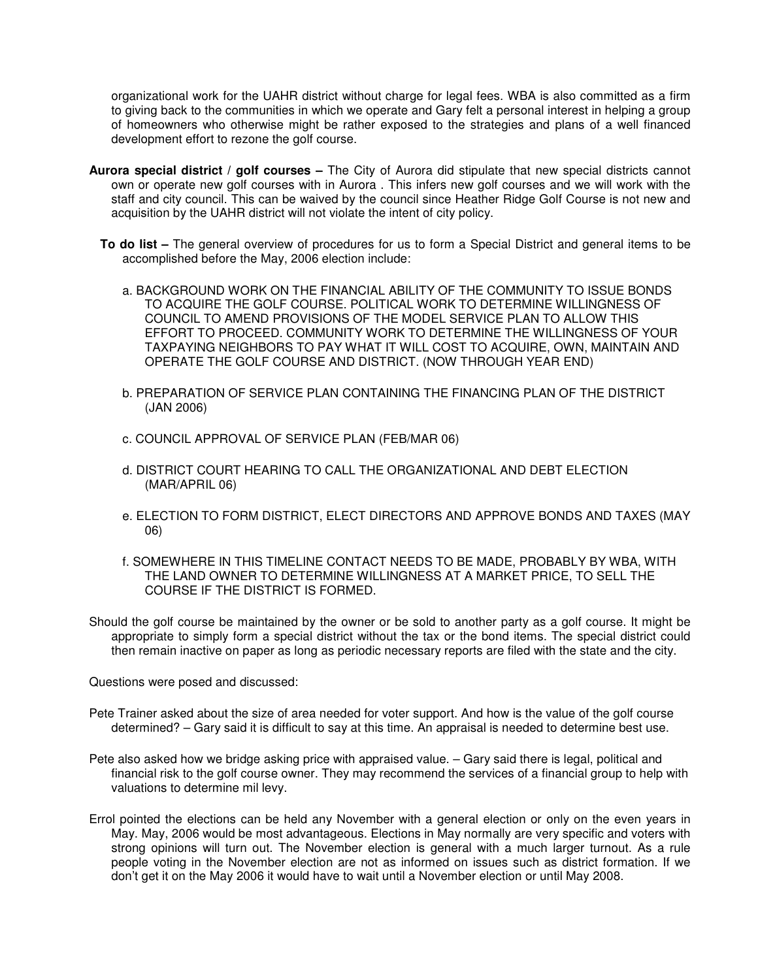organizational work for the UAHR district without charge for legal fees. WBA is also committed as a firm to giving back to the communities in which we operate and Gary felt a personal interest in helping a group of homeowners who otherwise might be rather exposed to the strategies and plans of a well financed development effort to rezone the golf course.

- **Aurora special district / golf courses** The City of Aurora did stipulate that new special districts cannot own or operate new golf courses with in Aurora . This infers new golf courses and we will work with the staff and city council. This can be waived by the council since Heather Ridge Golf Course is not new and acquisition by the UAHR district will not violate the intent of city policy.
	- **To do list** The general overview of procedures for us to form a Special District and general items to be accomplished before the May, 2006 election include:
		- a. BACKGROUND WORK ON THE FINANCIAL ABILITY OF THE COMMUNITY TO ISSUE BONDS TO ACQUIRE THE GOLF COURSE. POLITICAL WORK TO DETERMINE WILLINGNESS OF COUNCIL TO AMEND PROVISIONS OF THE MODEL SERVICE PLAN TO ALLOW THIS EFFORT TO PROCEED. COMMUNITY WORK TO DETERMINE THE WILLINGNESS OF YOUR TAXPAYING NEIGHBORS TO PAY WHAT IT WILL COST TO ACQUIRE, OWN, MAINTAIN AND OPERATE THE GOLF COURSE AND DISTRICT. (NOW THROUGH YEAR END)
		- b. PREPARATION OF SERVICE PLAN CONTAINING THE FINANCING PLAN OF THE DISTRICT (JAN 2006)
		- c. COUNCIL APPROVAL OF SERVICE PLAN (FEB/MAR 06)
		- d. DISTRICT COURT HEARING TO CALL THE ORGANIZATIONAL AND DEBT ELECTION (MAR/APRIL 06)
		- e. ELECTION TO FORM DISTRICT, ELECT DIRECTORS AND APPROVE BONDS AND TAXES (MAY 06)
		- f. SOMEWHERE IN THIS TIMELINE CONTACT NEEDS TO BE MADE, PROBABLY BY WBA, WITH THE LAND OWNER TO DETERMINE WILLINGNESS AT A MARKET PRICE, TO SELL THE COURSE IF THE DISTRICT IS FORMED.
- Should the golf course be maintained by the owner or be sold to another party as a golf course. It might be appropriate to simply form a special district without the tax or the bond items. The special district could then remain inactive on paper as long as periodic necessary reports are filed with the state and the city.

Questions were posed and discussed:

- Pete Trainer asked about the size of area needed for voter support. And how is the value of the golf course determined? – Gary said it is difficult to say at this time. An appraisal is needed to determine best use.
- Pete also asked how we bridge asking price with appraised value. Gary said there is legal, political and financial risk to the golf course owner. They may recommend the services of a financial group to help with valuations to determine mil levy.
- Errol pointed the elections can be held any November with a general election or only on the even years in May. May, 2006 would be most advantageous. Elections in May normally are very specific and voters with strong opinions will turn out. The November election is general with a much larger turnout. As a rule people voting in the November election are not as informed on issues such as district formation. If we don't get it on the May 2006 it would have to wait until a November election or until May 2008.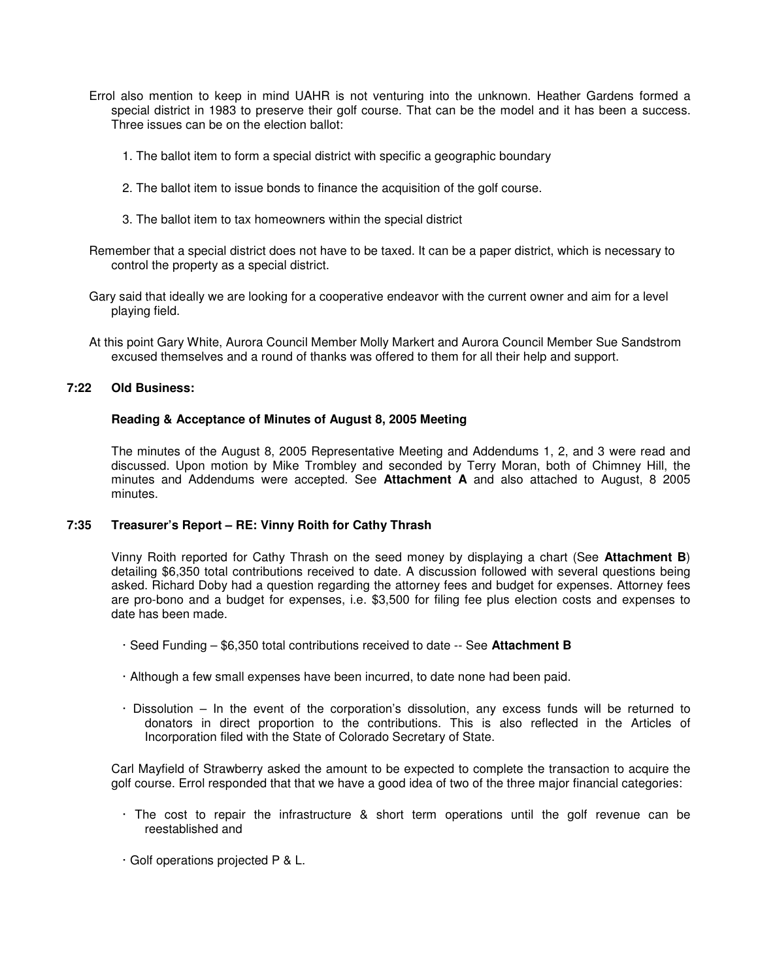- Errol also mention to keep in mind UAHR is not venturing into the unknown. Heather Gardens formed a special district in 1983 to preserve their golf course. That can be the model and it has been a success. Three issues can be on the election ballot:
	- 1. The ballot item to form a special district with specific a geographic boundary
	- 2. The ballot item to issue bonds to finance the acquisition of the golf course.
	- 3. The ballot item to tax homeowners within the special district
- Remember that a special district does not have to be taxed. It can be a paper district, which is necessary to control the property as a special district.
- Gary said that ideally we are looking for a cooperative endeavor with the current owner and aim for a level playing field.
- At this point Gary White, Aurora Council Member Molly Markert and Aurora Council Member Sue Sandstrom excused themselves and a round of thanks was offered to them for all their help and support.

# **7:22 Old Business:**

#### **Reading & Acceptance of Minutes of August 8, 2005 Meeting**

The minutes of the August 8, 2005 Representative Meeting and Addendums 1, 2, and 3 were read and discussed. Upon motion by Mike Trombley and seconded by Terry Moran, both of Chimney Hill, the minutes and Addendums were accepted. See **Attachment A** and also attached to August, 8 2005 minutes.

#### **7:35 Treasurer's Report – RE: Vinny Roith for Cathy Thrash**

Vinny Roith reported for Cathy Thrash on the seed money by displaying a chart (See **Attachment B**) detailing \$6,350 total contributions received to date. A discussion followed with several questions being asked. Richard Doby had a question regarding the attorney fees and budget for expenses. Attorney fees are pro-bono and a budget for expenses, i.e. \$3,500 for filing fee plus election costs and expenses to date has been made.

- · Seed Funding \$6,350 total contributions received to date -- See **Attachment B**
- · Although a few small expenses have been incurred, to date none had been paid.
- · Dissolution In the event of the corporation's dissolution, any excess funds will be returned to donators in direct proportion to the contributions. This is also reflected in the Articles of Incorporation filed with the State of Colorado Secretary of State.

Carl Mayfield of Strawberry asked the amount to be expected to complete the transaction to acquire the golf course. Errol responded that that we have a good idea of two of the three major financial categories:

- · The cost to repair the infrastructure & short term operations until the golf revenue can be reestablished and
- · Golf operations projected P & L.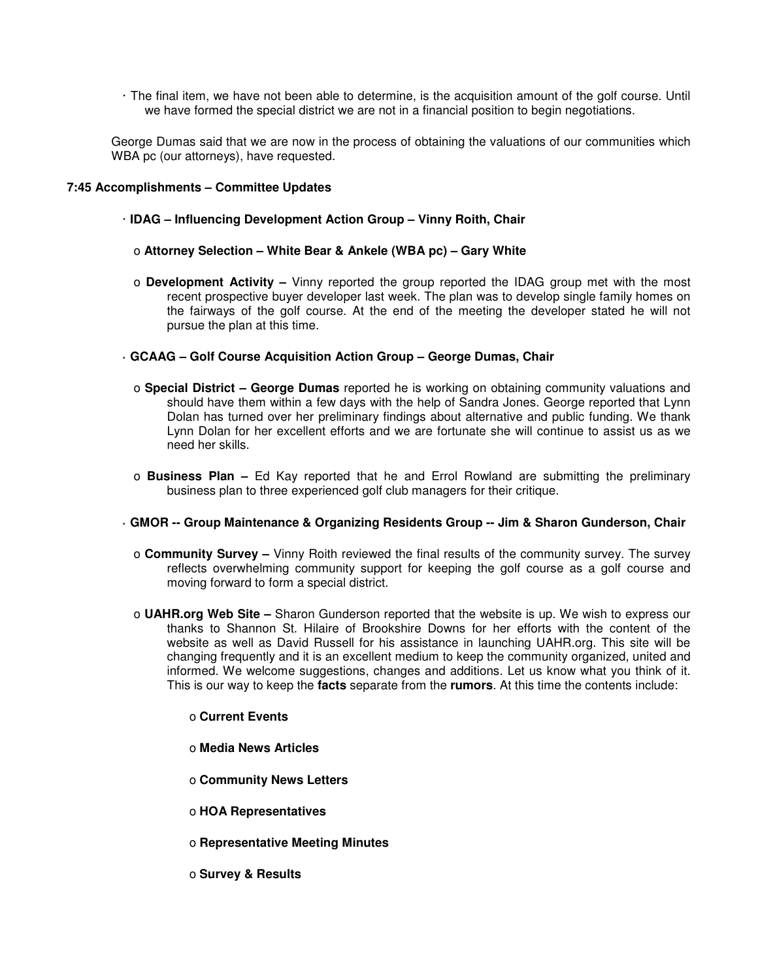· The final item, we have not been able to determine, is the acquisition amount of the golf course. Until we have formed the special district we are not in a financial position to begin negotiations.

George Dumas said that we are now in the process of obtaining the valuations of our communities which WBA pc (our attorneys), have requested.

# **7:45 Accomplishments – Committee Updates**

- · **IDAG Influencing Development Action Group Vinny Roith, Chair** 
	- o **Attorney Selection White Bear & Ankele (WBA pc) Gary White**
	- o **Development Activity** Vinny reported the group reported the IDAG group met with the most recent prospective buyer developer last week. The plan was to develop single family homes on the fairways of the golf course. At the end of the meeting the developer stated he will not pursue the plan at this time.

# **· GCAAG – Golf Course Acquisition Action Group – George Dumas, Chair**

- o **Special District George Dumas** reported he is working on obtaining community valuations and should have them within a few days with the help of Sandra Jones. George reported that Lynn Dolan has turned over her preliminary findings about alternative and public funding. We thank Lynn Dolan for her excellent efforts and we are fortunate she will continue to assist us as we need her skills.
- o **Business Plan** Ed Kay reported that he and Errol Rowland are submitting the preliminary business plan to three experienced golf club managers for their critique.

#### **· GMOR -- Group Maintenance & Organizing Residents Group -- Jim & Sharon Gunderson, Chair**

- o **Community Survey** Vinny Roith reviewed the final results of the community survey. The survey reflects overwhelming community support for keeping the golf course as a golf course and moving forward to form a special district.
- o **UAHR.org Web Site** Sharon Gunderson reported that the website is up. We wish to express our thanks to Shannon St. Hilaire of Brookshire Downs for her efforts with the content of the website as well as David Russell for his assistance in launching UAHR.org. This site will be changing frequently and it is an excellent medium to keep the community organized, united and informed. We welcome suggestions, changes and additions. Let us know what you think of it. This is our way to keep the **facts** separate from the **rumors**. At this time the contents include:

#### o **Current Events**

- o **Media News Articles**
- o **Community News Letters**
- o **HOA Representatives**
- o **Representative Meeting Minutes**
- o **Survey & Results**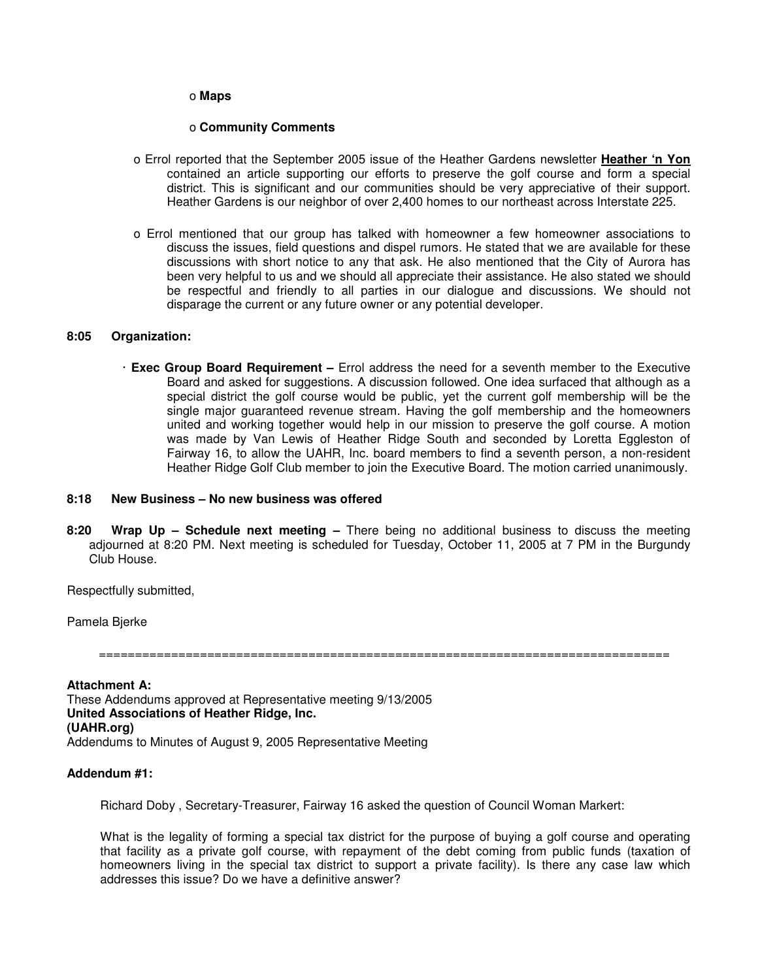#### o **Maps**

#### o **Community Comments**

- o Errol reported that the September 2005 issue of the Heather Gardens newsletter **Heather 'n Yon** contained an article supporting our efforts to preserve the golf course and form a special district. This is significant and our communities should be very appreciative of their support. Heather Gardens is our neighbor of over 2,400 homes to our northeast across Interstate 225.
- o Errol mentioned that our group has talked with homeowner a few homeowner associations to discuss the issues, field questions and dispel rumors. He stated that we are available for these discussions with short notice to any that ask. He also mentioned that the City of Aurora has been very helpful to us and we should all appreciate their assistance. He also stated we should be respectful and friendly to all parties in our dialogue and discussions. We should not disparage the current or any future owner or any potential developer.

#### **8:05 Organization:**

· **Exec Group Board Requirement –** Errol address the need for a seventh member to the Executive Board and asked for suggestions. A discussion followed. One idea surfaced that although as a special district the golf course would be public, yet the current golf membership will be the single major guaranteed revenue stream. Having the golf membership and the homeowners united and working together would help in our mission to preserve the golf course. A motion was made by Van Lewis of Heather Ridge South and seconded by Loretta Eggleston of Fairway 16, to allow the UAHR, Inc. board members to find a seventh person, a non-resident Heather Ridge Golf Club member to join the Executive Board. The motion carried unanimously.

# **8:18 New Business – No new business was offered**

**8:20 Wrap Up – Schedule next meeting –** There being no additional business to discuss the meeting adjourned at 8:20 PM. Next meeting is scheduled for Tuesday, October 11, 2005 at 7 PM in the Burgundy Club House.

Respectfully submitted,

Pamela Bjerke

===============================================================================

**Attachment A:**  These Addendums approved at Representative meeting 9/13/2005 **United Associations of Heather Ridge, Inc. (UAHR.org)**  Addendums to Minutes of August 9, 2005 Representative Meeting

#### **Addendum #1:**

Richard Doby , Secretary-Treasurer, Fairway 16 asked the question of Council Woman Markert:

What is the legality of forming a special tax district for the purpose of buying a golf course and operating that facility as a private golf course, with repayment of the debt coming from public funds (taxation of homeowners living in the special tax district to support a private facility). Is there any case law which addresses this issue? Do we have a definitive answer?